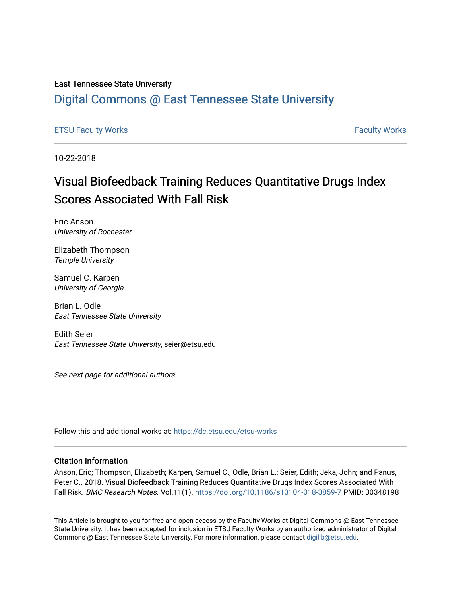# East Tennessee State University

# [Digital Commons @ East Tennessee State University](https://dc.etsu.edu/)

[ETSU Faculty Works](https://dc.etsu.edu/etsu-works) **Faculty Works** [Faculty Works](https://dc.etsu.edu/faculty-works) **Faculty Works** 

10-22-2018

# Visual Biofeedback Training Reduces Quantitative Drugs Index Scores Associated With Fall Risk

Eric Anson University of Rochester

Elizabeth Thompson Temple University

Samuel C. Karpen University of Georgia

Brian L. Odle East Tennessee State University

Edith Seier East Tennessee State University, seier@etsu.edu

See next page for additional authors

Follow this and additional works at: [https://dc.etsu.edu/etsu-works](https://dc.etsu.edu/etsu-works?utm_source=dc.etsu.edu%2Fetsu-works%2F10203&utm_medium=PDF&utm_campaign=PDFCoverPages) 

# Citation Information

Anson, Eric; Thompson, Elizabeth; Karpen, Samuel C.; Odle, Brian L.; Seier, Edith; Jeka, John; and Panus, Peter C.. 2018. Visual Biofeedback Training Reduces Quantitative Drugs Index Scores Associated With Fall Risk. BMC Research Notes. Vol.11(1).<https://doi.org/10.1186/s13104-018-3859-7> PMID: 30348198

This Article is brought to you for free and open access by the Faculty Works at Digital Commons @ East Tennessee State University. It has been accepted for inclusion in ETSU Faculty Works by an authorized administrator of Digital Commons @ East Tennessee State University. For more information, please contact [digilib@etsu.edu.](mailto:digilib@etsu.edu)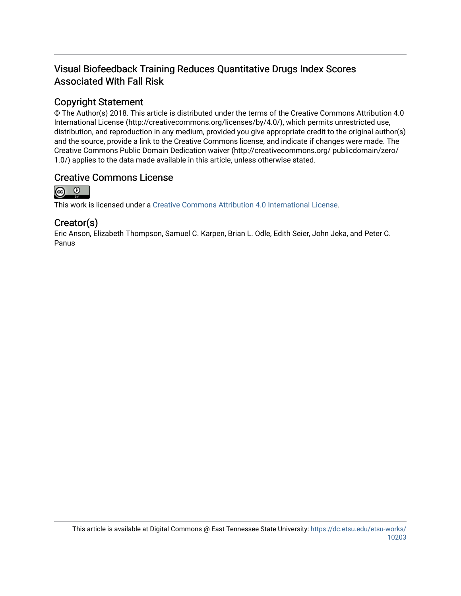# Visual Biofeedback Training Reduces Quantitative Drugs Index Scores Associated With Fall Risk

# Copyright Statement

© The Author(s) 2018. This article is distributed under the terms of the Creative Commons Attribution 4.0 International License (http://creativecommons.org/licenses/by/4.0/), which permits unrestricted use, distribution, and reproduction in any medium, provided you give appropriate credit to the original author(s) and the source, provide a link to the Creative Commons license, and indicate if changes were made. The Creative Commons Public Domain Dedication waiver (http://creativecommons.org/ publicdomain/zero/ 1.0/) applies to the data made available in this article, unless otherwise stated.

# Creative Commons License



This work is licensed under a [Creative Commons Attribution 4.0 International License.](https://creativecommons.org/licenses/by/4.0/)

# Creator(s)

Eric Anson, Elizabeth Thompson, Samuel C. Karpen, Brian L. Odle, Edith Seier, John Jeka, and Peter C. Panus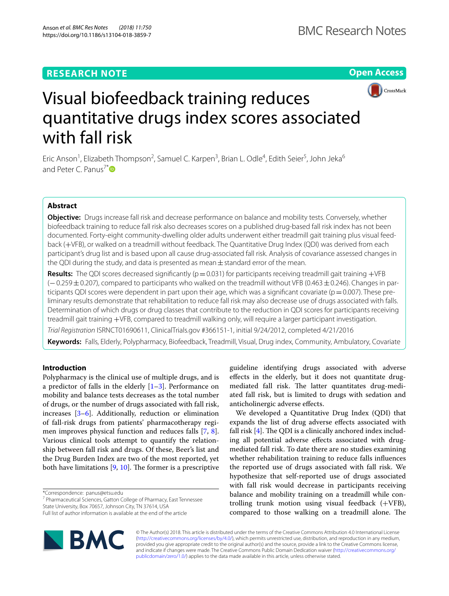# **RESEARCH NOTE**

**Open Access**



# Visual biofeedback training reduces quantitative drugs index scores associated with fall risk

Eric Anson<sup>1</sup>, Elizabeth Thompson<sup>2</sup>, Samuel C. Karpen<sup>3</sup>, Brian L. Odle<sup>4</sup>, Edith Seier<sup>5</sup>, John Jeka<sup>6</sup> and Peter C. Panus<sup>7[\\*](http://orcid.org/0000-0001-7520-0662)</sup> $\mathbf{D}$ 

## **Abstract**

**Objective:** Drugs increase fall risk and decrease performance on balance and mobility tests. Conversely, whether biofeedback training to reduce fall risk also decreases scores on a published drug-based fall risk index has not been documented. Forty-eight community-dwelling older adults underwent either treadmill gait training plus visual feedback (+VFB), or walked on a treadmill without feedback. The Quantitative Drug Index (QDI) was derived from each participant's drug list and is based upon all cause drug-associated fall risk. Analysis of covariance assessed changes in the QDI during the study, and data is presented as mean $\pm$  standard error of the mean.

Results: The QDI scores decreased significantly (p=0.031) for participants receiving treadmill gait training +VFB (−0.259±0.207), compared to participants who walked on the treadmill without VFB (0.463±0.246). Changes in participants QDI scores were dependent in part upon their age, which was a significant covariate ( $p=0.007$ ). These preliminary results demonstrate that rehabilitation to reduce fall risk may also decrease use of drugs associated with falls. Determination of which drugs or drug classes that contribute to the reduction in QDI scores for participants receiving treadmill gait training +VFB, compared to treadmill walking only, will require a larger participant investigation.

*Trial Registration* ISRNCT01690611, ClinicalTrials.gov #366151-1, initial 9/24/2012, completed 4/21/2016

**Keywords:** Falls, Elderly, Polypharmacy, Biofeedback, Treadmill, Visual, Drug index, Community, Ambulatory, Covariate

### **Introduction**

Polypharmacy is the clinical use of multiple drugs, and is a predictor of falls in the elderly  $[1-3]$  $[1-3]$ . Performance on mobility and balance tests decreases as the total number of drugs, or the number of drugs associated with fall risk, increases [\[3](#page-6-1)[–6\]](#page-6-2). Additionally, reduction or elimination of fall-risk drugs from patients' pharmacotherapy regimen improves physical function and reduces falls [[7,](#page-6-3) [8](#page-6-4)]. Various clinical tools attempt to quantify the relationship between fall risk and drugs. Of these, Beer's list and the Drug Burden Index are two of the most reported, yet both have limitations  $[9, 10]$  $[9, 10]$  $[9, 10]$  $[9, 10]$ . The former is a prescriptive

\*Correspondence: panus@etsu.edu

<sup>7</sup> Pharmaceutical Sciences, Gatton College of Pharmacy, East Tennessee State University, Box 70657, Johnson City, TN 37614, USA

Full list of author information is available at the end of the article



guideline identifying drugs associated with adverse efects in the elderly, but it does not quantitate drugmediated fall risk. The latter quantitates drug-mediated fall risk, but is limited to drugs with sedation and anticholinergic adverse efects.

We developed a Quantitative Drug Index (QDI) that expands the list of drug adverse efects associated with fall risk  $[4]$  $[4]$ . The QDI is a clinically anchored index including all potential adverse efects associated with drugmediated fall risk. To date there are no studies examining whether rehabilitation training to reduce falls infuences the reported use of drugs associated with fall risk. We hypothesize that self-reported use of drugs associated with fall risk would decrease in participants receiving balance and mobility training on a treadmill while controlling trunk motion using visual feedback  $(+VFB)$ , compared to those walking on a treadmill alone. The

© The Author(s) 2018. This article is distributed under the terms of the Creative Commons Attribution 4.0 International License [\(http://creativecommons.org/licenses/by/4.0/\)](http://creativecommons.org/licenses/by/4.0/), which permits unrestricted use, distribution, and reproduction in any medium, provided you give appropriate credit to the original author(s) and the source, provide a link to the Creative Commons license, and indicate if changes were made. The Creative Commons Public Domain Dedication waiver ([http://creativecommons.org/](http://creativecommons.org/publicdomain/zero/1.0/) [publicdomain/zero/1.0/](http://creativecommons.org/publicdomain/zero/1.0/)) applies to the data made available in this article, unless otherwise stated.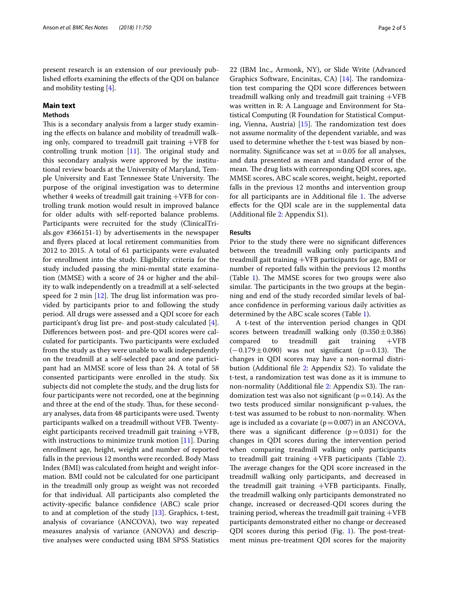present research is an extension of our previously published eforts examining the efects of the QDI on balance and mobility testing [[4\]](#page-6-7).

## **Main text**

## **Methods**

This is a secondary analysis from a larger study examining the efects on balance and mobility of treadmill walking only, compared to treadmill gait training  $+$ VFB for controlling trunk motion  $[11]$  $[11]$ . The original study and this secondary analysis were approved by the institutional review boards at the University of Maryland, Temple University and East Tennessee State University. The purpose of the original investigation was to determine whether 4 weeks of treadmill gait training +VFB for controlling trunk motion would result in improved balance for older adults with self-reported balance problems. Participants were recruited for the study (ClinicalTrials.gov #366151-1) by advertisements in the newspaper and fyers placed at local retirement communities from 2012 to 2015. A total of 61 participants were evaluated for enrollment into the study. Eligibility criteria for the study included passing the mini-mental state examination (MMSE) with a score of 24 or higher and the ability to walk independently on a treadmill at a self-selected speed for 2 min  $[12]$  $[12]$ . The drug list information was provided by participants prior to and following the study period. All drugs were assessed and a QDI score for each participant's drug list pre- and post-study calculated [\[4](#page-6-7)]. Diferences between post- and pre-QDI scores were calculated for participants. Two participants were excluded from the study as they were unable to walk independently on the treadmill at a self-selected pace and one participant had an MMSE score of less than 24. A total of 58 consented participants were enrolled in the study. Six subjects did not complete the study, and the drug lists for four participants were not recorded, one at the beginning and three at the end of the study. Thus, for these secondary analyses, data from 48 participants were used. Twenty participants walked on a treadmill without VFB. Twentyeight participants received treadmill gait training +VFB, with instructions to minimize trunk motion [\[11](#page-6-8)]. During enrollment age, height, weight and number of reported falls in the previous 12 months were recorded. Body Mass Index (BMI) was calculated from height and weight information. BMI could not be calculated for one participant in the treadmill only group as weight was not recorded for that individual. All participants also completed the activity-specifc balance confdence (ABC) scale prior to and at completion of the study [[13\]](#page-6-10). Graphics, t-test, analysis of covariance (ANCOVA), two way repeated measures analysis of variance (ANOVA) and descriptive analyses were conducted using IBM SPSS Statistics 22 (IBM Inc., Armonk, NY), or Slide Write (Advanced Graphics Software, Encinitas, CA)  $[14]$  $[14]$ . The randomization test comparing the QDI score diferences between treadmill walking only and treadmill gait training +VFB was written in R: A Language and Environment for Statistical Computing (R Foundation for Statistical Computing, Vienna, Austria)  $[15]$  $[15]$ . The randomization test does not assume normality of the dependent variable, and was used to determine whether the t-test was biased by nonnormality. Significance was set at  $=0.05$  for all analyses, and data presented as mean and standard error of the mean. The drug lists with corresponding QDI scores, age, MMSE scores, ABC scale scores, weight, height, reported falls in the previous 12 months and intervention group for all participants are in Additional file [1.](#page-5-0) The adverse efects for the QDI scale are in the supplemental data (Additional fle [2](#page-5-1): Appendix S1).

#### **Results**

Prior to the study there were no signifcant diferences between the treadmill walking only participants and treadmill gait training +VFB participants for age, BMI or number of reported falls within the previous 12 months (Table [1](#page-4-0)). The MMSE scores for two groups were also similar. The participants in the two groups at the beginning and end of the study recorded similar levels of balance confdence in performing various daily activities as determined by the ABC scale scores (Table [1\)](#page-4-0).

A t-test of the intervention period changes in QDI scores between treadmill walking only  $(0.350 \pm 0.386)$ <br>compared to treadmill gait training +VFB treadmill  $(-0.179 \pm 0.090)$  was not significant (p=0.13). The changes in QDI scores may have a non-normal distribution (Additional fle [2:](#page-5-1) Appendix S2). To validate the t-test, a randomization test was done as it is immune to non-normality (Additional file [2:](#page-5-1) Appendix S3). The randomization test was also not significant ( $p=0.14$ ). As the two tests produced similar nonsignifcant p-values, the t-test was assumed to be robust to non-normality. When age is included as a covariate ( $p=0.007$ ) in an ANCOVA, there was a significant difference  $(p=0.031)$  for the changes in QDI scores during the intervention period when comparing treadmill walking only participants to treadmill gait training  $+$ VFB participants (Table [2](#page-4-1)). The average changes for the QDI score increased in the treadmill walking only participants, and decreased in the treadmill gait training  $+$ VFB participants. Finally, the treadmill walking only participants demonstrated no change, increased or decreased-QDI scores during the training period, whereas the treadmill gait training +VFB participants demonstrated either no change or decreased QDI scores during this period (Fig.  $1$ ). The post-treatment minus pre-treatment QDI scores for the majority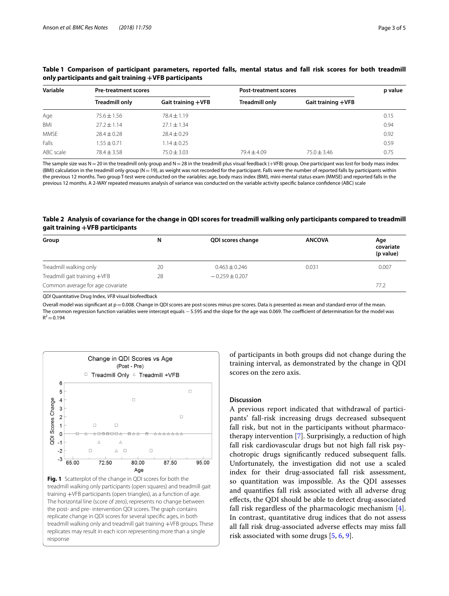| Variable    | <b>Pre-treatment scores</b> |                    | <b>Post-treatment scores</b> |                    | p value |
|-------------|-----------------------------|--------------------|------------------------------|--------------------|---------|
|             | <b>Treadmill only</b>       | Gait training +VFB | <b>Treadmill only</b>        | Gait training +VFB |         |
| Age         | $75.6 \pm 1.56$             | $78.4 \pm 1.19$    |                              |                    | 0.15    |
| BMI         | $77.7 \pm 1.14$             | $27.1 \pm 1.34$    |                              |                    | 0.94    |
| <b>MMSE</b> | $78.4 \pm 0.28$             | $78.4 \pm 0.29$    |                              |                    | 0.92    |
| Falls       | $.55 + 0.71$                | $1.14 \pm 0.25$    |                              |                    | 0.59    |
| ABC scale   | $78.4 + 3.58$               | $75.0 \pm 3.03$    | $79.4 + 4.09$                | $75.0 + 3.46$      | 0.75    |

## <span id="page-4-0"></span>**Table 1 Comparison of participant parameters, reported falls, mental status and fall risk scores for both treadmill only participants and gait training +VFB participants**

The sample size was N=20 in the treadmill only group and N=28 in the treadmill plus visual feedback (+VFB) group. One participant was lost for body mass index  $(BM)$  calculation in the treadmill only group  $(N=19)$ , as weight was not recorded for the participant. Falls were the number of reported falls by participants within the previous 12 months. Two group T-test were conducted on the variables: age, body mass index (BMI), mini-mental status exam (MMSE) and reported falls in the previous 12 months. A 2-WAY repeated measures analysis of variance was conducted on the variable activity specifc balance confdence (ABC) scale

### <span id="page-4-1"></span>**Table 2 Analysis of covariance for the change in QDI scores for treadmill walking only participants compared to treadmill gait training +VFB participants**

| Group                            | N  | QDI scores change | <b>ANCOVA</b> | Age                    |
|----------------------------------|----|-------------------|---------------|------------------------|
|                                  |    |                   |               | covariate<br>(p value) |
| Treadmill walking only           | 20 | $0.463 \pm 0.246$ | 0.031         | 0.007                  |
| Treadmill gait training +VFB     | 28 | $-0.259 + 0.207$  |               |                        |
| Common average for age covariate |    |                   |               |                        |

*QDI* Quantitative Drug Index, *VFB* visual biofeedback

Overall model was significant at p=0.008. Change in QDI scores are post-scores minus pre-scores. Data is presented as mean and standard error of the mean. The common regression function variables were intercept equals −5.595 and the slope for the age was 0.069. The coefficient of determination for the model was  $R^2$  = 0.194

<span id="page-4-2"></span>

of participants in both groups did not change during the training interval, as demonstrated by the change in QDI scores on the zero axis.

#### **Discussion**

A previous report indicated that withdrawal of participants' fall-risk increasing drugs decreased subsequent fall risk, but not in the participants without pharmacotherapy intervention [\[7](#page-6-3)]. Surprisingly, a reduction of high fall risk cardiovascular drugs but not high fall risk psychotropic drugs signifcantly reduced subsequent falls. Unfortunately, the investigation did not use a scaled index for their drug-associated fall risk assessment, so quantitation was impossible. As the QDI assesses and quantifes fall risk associated with all adverse drug efects, the QDI should be able to detect drug-associated fall risk regardless of the pharmacologic mechanism [\[4](#page-6-7)]. In contrast, quantitative drug indices that do not assess all fall risk drug-associated adverse efects may miss fall risk associated with some drugs [[5,](#page-6-13) [6](#page-6-2), [9\]](#page-6-5).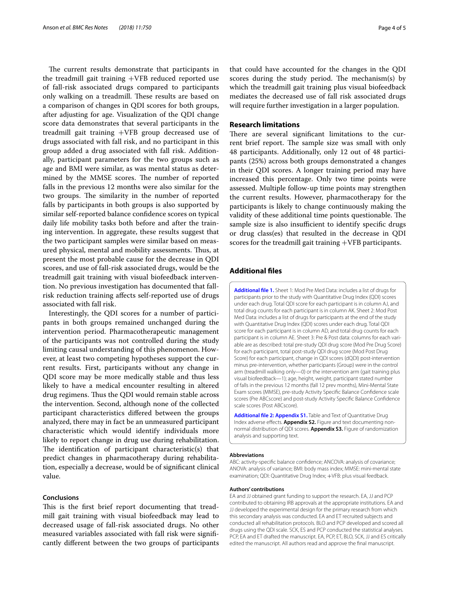The current results demonstrate that participants in the treadmill gait training +VFB reduced reported use of fall-risk associated drugs compared to participants only walking on a treadmill. These results are based on a comparison of changes in QDI scores for both groups, after adjusting for age. Visualization of the QDI change score data demonstrates that several participants in the treadmill gait training  $+$ VFB group decreased use of drugs associated with fall risk, and no participant in this group added a drug associated with fall risk. Additionally, participant parameters for the two groups such as age and BMI were similar, as was mental status as determined by the MMSE scores. The number of reported falls in the previous 12 months were also similar for the two groups. The similarity in the number of reported falls by participants in both groups is also supported by similar self-reported balance confdence scores on typical daily life mobility tasks both before and after the training intervention. In aggregate, these results suggest that the two participant samples were similar based on measured physical, mental and mobility assessments. Tus, at present the most probable cause for the decrease in QDI scores, and use of fall-risk associated drugs, would be the treadmill gait training with visual biofeedback intervention. No previous investigation has documented that fallrisk reduction training afects self-reported use of drugs associated with fall risk.

Interestingly, the QDI scores for a number of participants in both groups remained unchanged during the intervention period. Pharmacotherapeutic management of the participants was not controlled during the study limiting causal understanding of this phenomenon. However, at least two competing hypotheses support the current results. First, participants without any change in QDI score may be more medically stable and thus less likely to have a medical encounter resulting in altered drug regimens. Thus the QDI would remain stable across the intervention. Second, although none of the collected participant characteristics difered between the groups analyzed, there may in fact be an unmeasured participant characteristic which would identify individuals more likely to report change in drug use during rehabilitation. The identification of participant characteristic $(s)$  that predict changes in pharmacotherapy during rehabilitation, especially a decrease, would be of signifcant clinical value.

#### **Conclusions**

This is the first brief report documenting that treadmill gait training with visual biofeedback may lead to decreased usage of fall-risk associated drugs. No other measured variables associated with fall risk were signifcantly diferent between the two groups of participants

that could have accounted for the changes in the QDI scores during the study period. The mechanism $(s)$  by which the treadmill gait training plus visual biofeedback mediates the decreased use of fall risk associated drugs will require further investigation in a larger population.

#### **Research limitations**

There are several significant limitations to the current brief report. The sample size was small with only 48 participants. Additionally, only 12 out of 48 participants (25%) across both groups demonstrated a changes in their QDI scores. A longer training period may have increased this percentage. Only two time points were assessed. Multiple follow-up time points may strengthen the current results. However, pharmacotherapy for the participants is likely to change continuously making the validity of these additional time points questionable. The sample size is also insufficient to identify specific drugs or drug class(es) that resulted in the decrease in QDI scores for the treadmill gait training +VFB participants.

## **Additional fles**

<span id="page-5-0"></span>**[Additional fle](https://doi.org/10.1186/s13104-018-3859-7) 1.** Sheet 1: Mod Pre Med Data: includes a list of drugs for participants prior to the study with Quantitative Drug Index (QDI) scores under each drug. Total QDI score for each participant is in column AJ, and total drug counts for each participant is in column AK. Sheet 2: Mod Post Med Data: includes a list of drugs for participants at the end of the study with Quantitative Drug Index (QDI) scores under each drug. Total QDI score for each participant is in column AD, and total drug counts for each participant is in column AE. Sheet 3: Pre & Post data: columns for each variable are as described: total pre-study QDI drug score (Mod Pre Drug Score) for each participant, total post-study QDI drug score (Mod Post Drug Score) for each participant, change in QDI scores (dQDI) post-intervention minus pre-intervention, whether participants (Group) were in the control arm (treadmill walking only—0) or the intervention arm (gait training plus visual biofeedback—1); age, height, weight, participant stated number of falls in the previous 12 months (fall 12 prev months), Mini-Mental State Exam scores (MMSE), pre-study Activity Specifc Balance Confdence scale scores (Pre ABCscore) and post-study Activity Specifc Balance Confdence scale scores (Post ABCscore).

<span id="page-5-1"></span>**Additional fle [2: Appendix S1.](https://doi.org/10.1186/s13104-018-3859-7)** Table and Text of Quantitative Drug Index adverse effects. **Appendix S2.** Figure and text documenting nonnormal distribution of QDI scores. **Appendix S3.** Figure of randomization analysis and supporting text.

#### **Abbreviations**

ABC: activity-specifc balance confdence; ANCOVA: analysis of covariance; ANOVA: analysis of variance; BMI: body mass index; MMSE: mini-mental state examination; QDI: Quantitative Drug Index; +VFB: plus visual feedback.

#### **Authors' contributions**

EA and JJ obtained grant funding to support the research. EA, JJ and PCP contributed to obtaining IRB approvals at the appropriate institutions. EA and JJ developed the experimental design for the primary research from which this secondary analysis was conducted. EA and ET recruited subjects and conducted all rehabilitation protocols. BLO and PCP developed and scored all drugs using the QDI scale. SCK, ES and PCP conducted the statistical analyses. PCP, EA and ET drafted the manuscript. EA, PCP, ET, BLO, SCK, JJ and ES critically edited the manuscript. All authors read and approve the fnal manuscript.